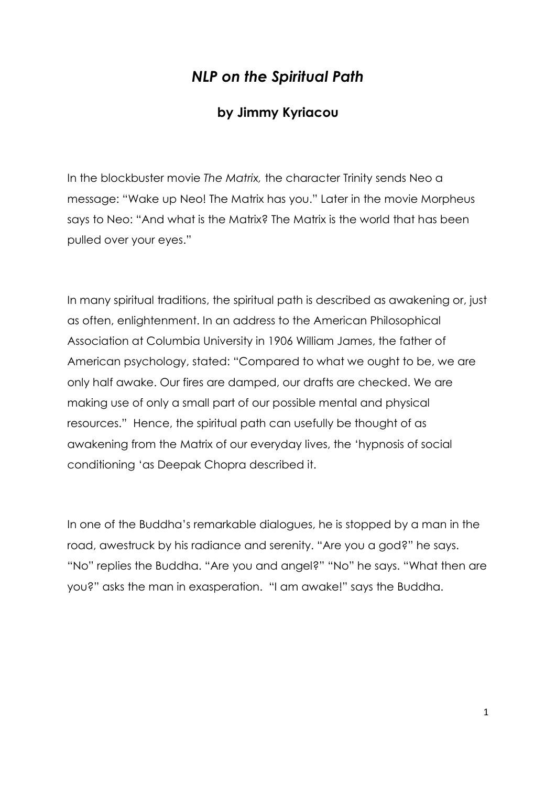## *NLP on the Spiritual Path*

## **by Jimmy Kyriacou**

In the blockbuster movie *The Matrix,* the character Trinity sends Neo a message: "Wake up Neo! The Matrix has you." Later in the movie Morpheus says to Neo: "And what is the Matrix? The Matrix is the world that has been pulled over your eyes."

In many spiritual traditions, the spiritual path is described as awakening or, just as often, enlightenment. In an address to the American Philosophical Association at Columbia University in 1906 William James, the father of American psychology, stated: "Compared to what we ought to be, we are only half awake. Our fires are damped, our drafts are checked. We are making use of only a small part of our possible mental and physical resources." Hence, the spiritual path can usefully be thought of as awakening from the Matrix of our everyday lives, the "hypnosis of social conditioning "as Deepak Chopra described it.

In one of the Buddha"s remarkable dialogues, he is stopped by a man in the road, awestruck by his radiance and serenity. "Are you a god?" he says. "No" replies the Buddha. "Are you and angel?" "No" he says. "What then are you?" asks the man in exasperation. "I am awake!" says the Buddha.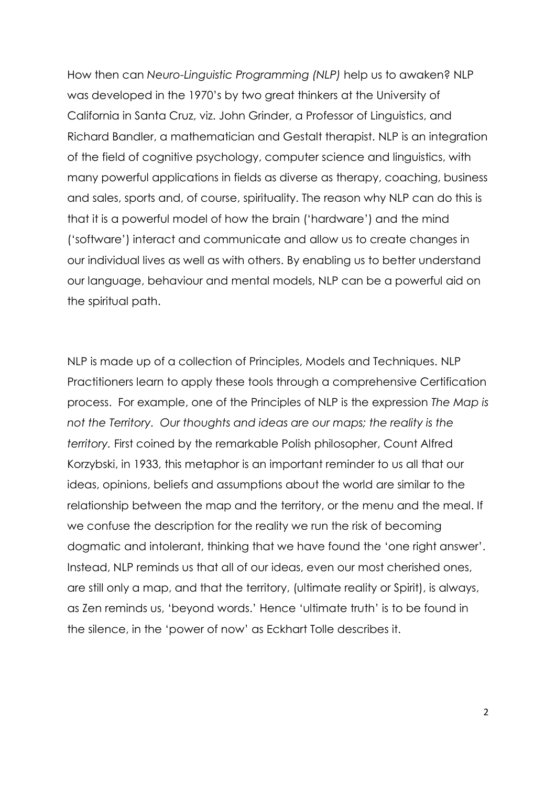How then can *Neuro-Linguistic Programming (NLP)* help us to awaken? NLP was developed in the 1970"s by two great thinkers at the University of California in Santa Cruz, viz. John Grinder, a Professor of Linguistics, and Richard Bandler, a mathematician and Gestalt therapist. NLP is an integration of the field of cognitive psychology, computer science and linguistics, with many powerful applications in fields as diverse as therapy, coaching, business and sales, sports and, of course, spirituality. The reason why NLP can do this is that it is a powerful model of how the brain ("hardware") and the mind ("software") interact and communicate and allow us to create changes in our individual lives as well as with others. By enabling us to better understand our language, behaviour and mental models, NLP can be a powerful aid on the spiritual path.

NLP is made up of a collection of Principles, Models and Techniques. NLP Practitioners learn to apply these tools through a comprehensive Certification process. For example, one of the Principles of NLP is the expression *The Map is*  not the Territory. Our thoughts and ideas are our maps; the reality is the *territory.* First coined by the remarkable Polish philosopher, Count Alfred Korzybski, in 1933, this metaphor is an important reminder to us all that our ideas, opinions, beliefs and assumptions about the world are similar to the relationship between the map and the territory, or the menu and the meal. If we confuse the description for the reality we run the risk of becoming dogmatic and intolerant, thinking that we have found the "one right answer". Instead, NLP reminds us that all of our ideas, even our most cherished ones, are still only a map, and that the territory, (ultimate reality or Spirit), is always, as Zen reminds us, "beyond words." Hence "ultimate truth" is to be found in the silence, in the "power of now" as Eckhart Tolle describes it.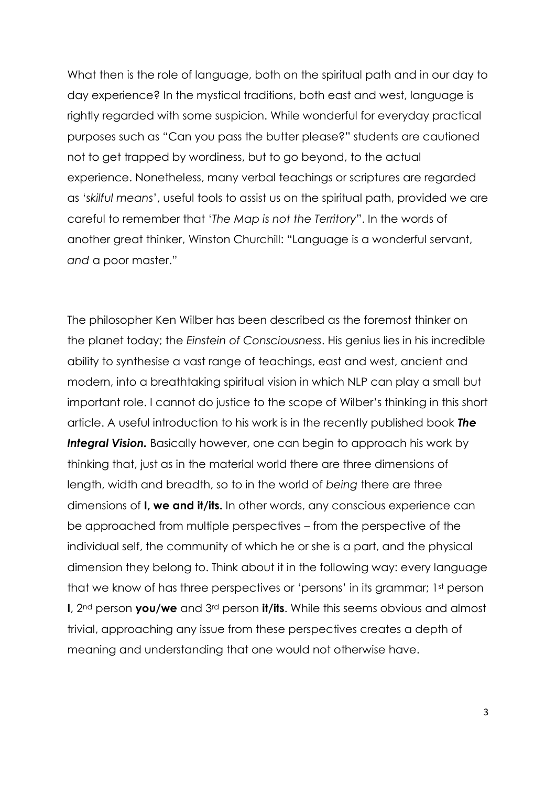What then is the role of language, both on the spiritual path and in our day to day experience? In the mystical traditions, both east and west, language is rightly regarded with some suspicion. While wonderful for everyday practical purposes such as "Can you pass the butter please?" students are cautioned not to get trapped by wordiness, but to go beyond, to the actual experience. Nonetheless, many verbal teachings or scriptures are regarded as "*skilful means*", useful tools to assist us on the spiritual path, provided we are careful to remember that "*The Map is not the Territory*". In the words of another great thinker, Winston Churchill: "Language is a wonderful servant, *and* a poor master."

The philosopher Ken Wilber has been described as the foremost thinker on the planet today; the *Einstein of Consciousness*. His genius lies in his incredible ability to synthesise a vast range of teachings, east and west, ancient and modern, into a breathtaking spiritual vision in which NLP can play a small but important role. I cannot do justice to the scope of Wilber"s thinking in this short article. A useful introduction to his work is in the recently published book *The*  **Integral Vision.** Basically however, one can begin to approach his work by thinking that, just as in the material world there are three dimensions of length, width and breadth, so to in the world of *being* there are three dimensions of **I, we and it/its.** In other words, any conscious experience can be approached from multiple perspectives – from the perspective of the individual self, the community of which he or she is a part, and the physical dimension they belong to. Think about it in the following way: every language that we know of has three perspectives or "persons" in its grammar; 1st person **I**, 2nd person **you/we** and 3rd person **it/its**. While this seems obvious and almost trivial, approaching any issue from these perspectives creates a depth of meaning and understanding that one would not otherwise have.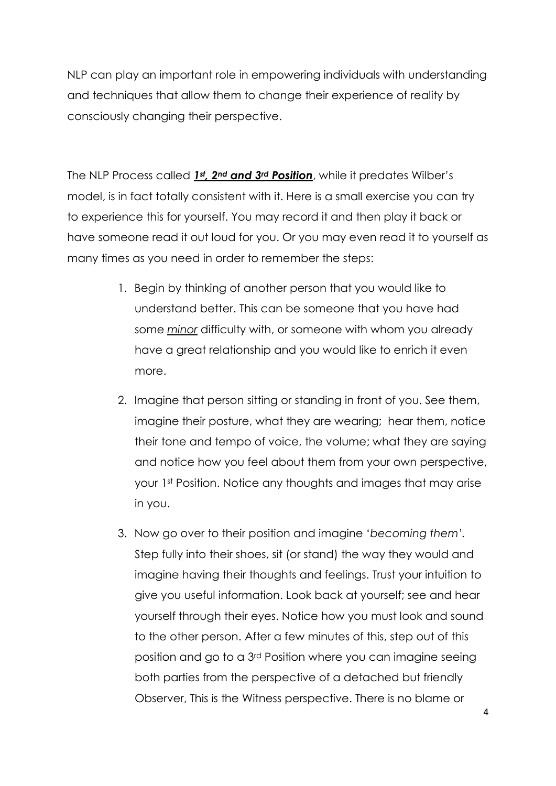NLP can play an important role in empowering individuals with understanding and techniques that allow them to change their experience of reality by consciously changing their perspective.

The NLP Process called *1st, 2nd and 3rd Position*, while it predates Wilber"s model, is in fact totally consistent with it. Here is a small exercise you can try to experience this for yourself. You may record it and then play it back or have someone read it out loud for you. Or you may even read it to yourself as many times as you need in order to remember the steps:

- 1. Begin by thinking of another person that you would like to understand better. This can be someone that you have had some *minor* difficulty with, or someone with whom you already have a great relationship and you would like to enrich it even more.
- 2. Imagine that person sitting or standing in front of you. See them, imagine their posture, what they are wearing; hear them, notice their tone and tempo of voice, the volume; what they are saying and notice how you feel about them from your own perspective, your 1st Position. Notice any thoughts and images that may arise in you.
- 3. Now go over to their position and imagine "*becoming them'.* Step fully into their shoes, sit (or stand) the way they would and imagine having their thoughts and feelings. Trust your intuition to give you useful information. Look back at yourself; see and hear yourself through their eyes. Notice how you must look and sound to the other person. After a few minutes of this, step out of this position and go to a 3rd Position where you can imagine seeing both parties from the perspective of a detached but friendly Observer, This is the Witness perspective. There is no blame or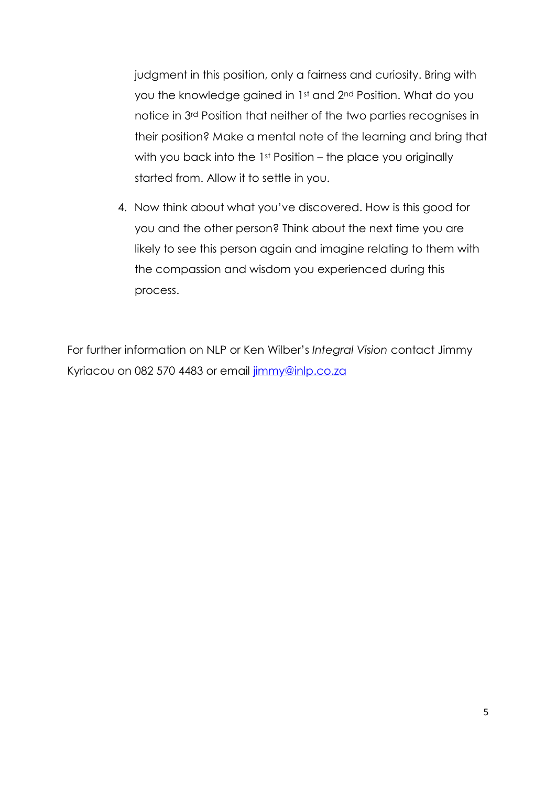judgment in this position, only a fairness and curiosity. Bring with you the knowledge gained in 1st and 2<sup>nd</sup> Position. What do you notice in 3rd Position that neither of the two parties recognises in their position? Make a mental note of the learning and bring that with you back into the 1<sup>st</sup> Position – the place you originally started from. Allow it to settle in you.

4. Now think about what you"ve discovered. How is this good for you and the other person? Think about the next time you are likely to see this person again and imagine relating to them with the compassion and wisdom you experienced during this process.

For further information on NLP or Ken Wilber"s *Integral Vision* contact Jimmy Kyriacou on 082 570 4483 or email [jimmy@inlp.co.za](mailto:jimmy@inlp.co.za)